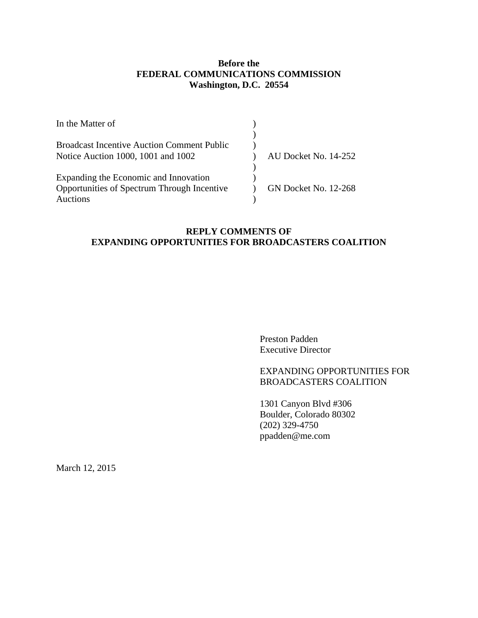# **Before the FEDERAL COMMUNICATIONS COMMISSION Washington, D.C. 20554**

| In the Matter of                                  |                      |
|---------------------------------------------------|----------------------|
|                                                   |                      |
| <b>Broadcast Incentive Auction Comment Public</b> |                      |
| Notice Auction 1000, 1001 and 1002                | AU Docket No. 14-252 |
|                                                   |                      |
| Expanding the Economic and Innovation             |                      |
| Opportunities of Spectrum Through Incentive       | GN Docket No. 12-268 |
| Auctions                                          |                      |

# **REPLY COMMENTS OF EXPANDING OPPORTUNITIES FOR BROADCASTERS COALITION**

Preston Padden Executive Director

# EXPANDING OPPORTUNITIES FOR BROADCASTERS COALITION

1301 Canyon Blvd #306 Boulder, Colorado 80302 (202) 329-4750 ppadden@me.com

March 12, 2015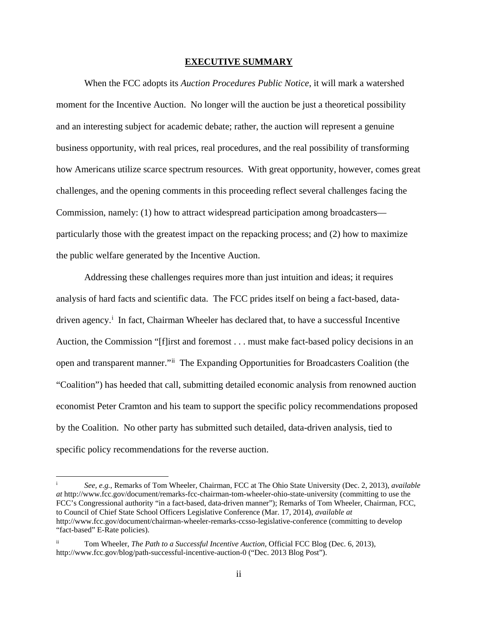#### **EXECUTIVE SUMMARY**

<span id="page-1-2"></span>When the FCC adopts its *Auction Procedures Public Notice*, it will mark a watershed moment for the Incentive Auction. No longer will the auction be just a theoretical possibility and an interesting subject for academic debate; rather, the auction will represent a genuine business opportunity, with real prices, real procedures, and the real possibility of transforming how Americans utilize scarce spectrum resources. With great opportunity, however, comes great challenges, and the opening comments in this proceeding reflect several challenges facing the Commission, namely: (1) how to attract widespread participation among broadcasters particularly those with the greatest impact on the repacking process; and (2) how to maximize the public welfare generated by the Incentive Auction.

Addressing these challenges requires more than just intuition and ideas; it requires analysis of hard facts and scientific data. The FCC prides itself on being a fact-based, datadr[i](#page-1-0)ven agency.<sup>i</sup> In fact, Chairman Wheeler has declared that, to have a successful Incentive Auction, the Commission "[f]irst and foremost . . . must make fact-based policy decisions in an open and transparent manner."[ii](#page-1-1) The Expanding Opportunities for Broadcasters Coalition (the "Coalition") has heeded that call, submitting detailed economic analysis from renowned auction economist Peter Cramton and his team to support the specific policy recommendations proposed by the Coalition. No other party has submitted such detailed, data-driven analysis, tied to specific policy recommendations for the reverse auction.

<span id="page-1-0"></span><sup>i</sup> *See, e.g.*, Remarks of Tom Wheeler, Chairman, FCC at The Ohio State University (Dec. 2, 2013), *available at* http://www.fcc.gov/document/remarks-fcc-chairman-tom-wheeler-ohio-state-university (committing to use the FCC's Congressional authority "in a fact-based, data-driven manner"); Remarks of Tom Wheeler, Chairman, FCC, to Council of Chief State School Officers Legislative Conference (Mar. 17, 2014), *available at*  http://www.fcc.gov/document/chairman-wheeler-remarks-ccsso-legislative-conference (committing to develop "fact-based" E-Rate policies).

<span id="page-1-1"></span>Tom Wheeler, *The Path to a Successful Incentive Auction*, Official FCC Blog (Dec. 6, 2013), http://www.fcc.gov/blog/path-successful-incentive-auction-0 ("Dec. 2013 Blog Post").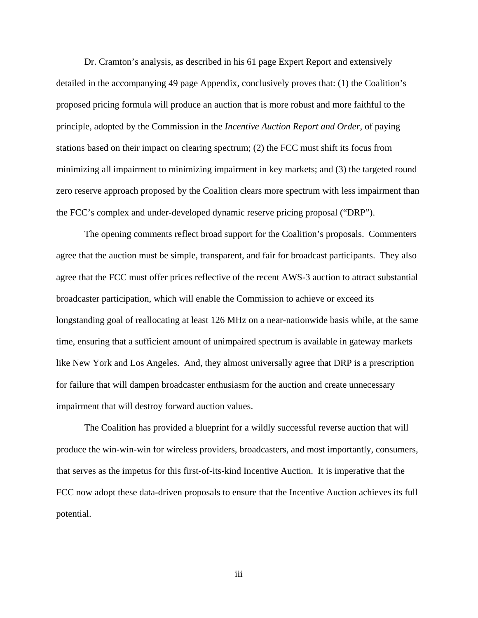Dr. Cramton's analysis, as described in his 61 page Expert Report and extensively detailed in the accompanying 49 page Appendix, conclusively proves that: (1) the Coalition's proposed pricing formula will produce an auction that is more robust and more faithful to the principle, adopted by the Commission in the *Incentive Auction Report and Order*, of paying stations based on their impact on clearing spectrum; (2) the FCC must shift its focus from minimizing all impairment to minimizing impairment in key markets; and (3) the targeted round zero reserve approach proposed by the Coalition clears more spectrum with less impairment than the FCC's complex and under-developed dynamic reserve pricing proposal ("DRP").

The opening comments reflect broad support for the Coalition's proposals. Commenters agree that the auction must be simple, transparent, and fair for broadcast participants. They also agree that the FCC must offer prices reflective of the recent AWS-3 auction to attract substantial broadcaster participation, which will enable the Commission to achieve or exceed its longstanding goal of reallocating at least 126 MHz on a near-nationwide basis while, at the same time, ensuring that a sufficient amount of unimpaired spectrum is available in gateway markets like New York and Los Angeles. And, they almost universally agree that DRP is a prescription for failure that will dampen broadcaster enthusiasm for the auction and create unnecessary impairment that will destroy forward auction values.

The Coalition has provided a blueprint for a wildly successful reverse auction that will produce the win-win-win for wireless providers, broadcasters, and most importantly, consumers, that serves as the impetus for this first-of-its-kind Incentive Auction. It is imperative that the FCC now adopt these data-driven proposals to ensure that the Incentive Auction achieves its full potential.

iii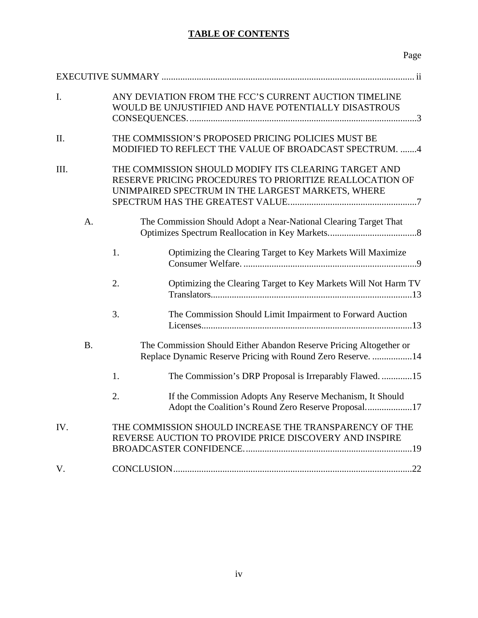# **TABLE OF CONTENTS**

| I.   |                |    | ANY DEVIATION FROM THE FCC'S CURRENT AUCTION TIMELINE<br>WOULD BE UNJUSTIFIED AND HAVE POTENTIALLY DISASTROUS                                                         |
|------|----------------|----|-----------------------------------------------------------------------------------------------------------------------------------------------------------------------|
| II.  |                |    | THE COMMISSION'S PROPOSED PRICING POLICIES MUST BE<br>MODIFIED TO REFLECT THE VALUE OF BROADCAST SPECTRUM. 4                                                          |
| III. |                |    | THE COMMISSION SHOULD MODIFY ITS CLEARING TARGET AND<br>RESERVE PRICING PROCEDURES TO PRIORITIZE REALLOCATION OF<br>UNIMPAIRED SPECTRUM IN THE LARGEST MARKETS, WHERE |
|      | A <sub>1</sub> |    | The Commission Should Adopt a Near-National Clearing Target That                                                                                                      |
|      |                | 1. | Optimizing the Clearing Target to Key Markets Will Maximize                                                                                                           |
|      |                | 2. | Optimizing the Clearing Target to Key Markets Will Not Harm TV                                                                                                        |
|      |                | 3. | The Commission Should Limit Impairment to Forward Auction                                                                                                             |
|      | <b>B.</b>      |    | The Commission Should Either Abandon Reserve Pricing Altogether or<br>Replace Dynamic Reserve Pricing with Round Zero Reserve. 14                                     |
|      |                | 1. | The Commission's DRP Proposal is Irreparably Flawed15                                                                                                                 |
|      |                | 2. | If the Commission Adopts Any Reserve Mechanism, It Should<br>Adopt the Coalition's Round Zero Reserve Proposal17                                                      |
| IV.  |                |    | THE COMMISSION SHOULD INCREASE THE TRANSPARENCY OF THE<br>REVERSE AUCTION TO PROVIDE PRICE DISCOVERY AND INSPIRE                                                      |
| V.   |                |    |                                                                                                                                                                       |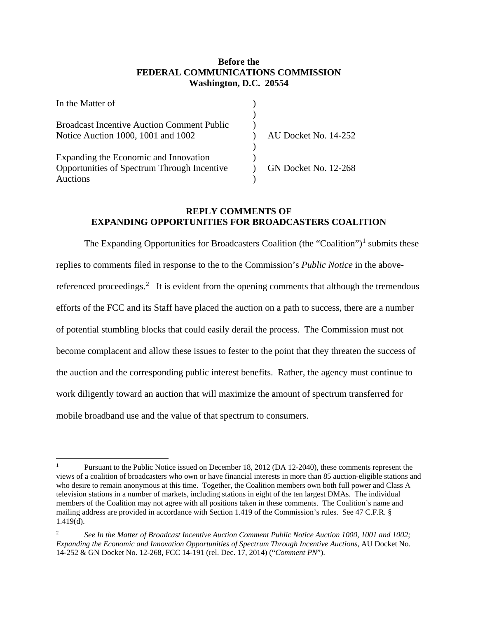# **Before the FEDERAL COMMUNICATIONS COMMISSION Washington, D.C. 20554**

| In the Matter of                                  |                             |
|---------------------------------------------------|-----------------------------|
|                                                   |                             |
| <b>Broadcast Incentive Auction Comment Public</b> |                             |
| Notice Auction 1000, 1001 and 1002                | AU Docket No. 14-252        |
|                                                   |                             |
| Expanding the Economic and Innovation             |                             |
| Opportunities of Spectrum Through Incentive       | <b>GN Docket No. 12-268</b> |
| <b>Auctions</b>                                   |                             |

# **REPLY COMMENTS OF EXPANDING OPPORTUNITIES FOR BROADCASTERS COALITION**

The Expanding Opportunities for Broadcasters Coalition (the "Coalition")<sup>[1](#page-4-0)</sup> submits these replies to comments filed in response to the to the Commission's *Public Notice* in the above-referenced proceedings.<sup>[2](#page-4-1)</sup> It is evident from the opening comments that although the tremendous efforts of the FCC and its Staff have placed the auction on a path to success, there are a number of potential stumbling blocks that could easily derail the process. The Commission must not become complacent and allow these issues to fester to the point that they threaten the success of the auction and the corresponding public interest benefits. Rather, the agency must continue to work diligently toward an auction that will maximize the amount of spectrum transferred for mobile broadband use and the value of that spectrum to consumers.

<span id="page-4-0"></span>Pursuant to the Public Notice issued on December 18, 2012 (DA 12-2040), these comments represent the views of a coalition of broadcasters who own or have financial interests in more than 85 auction-eligible stations and who desire to remain anonymous at this time. Together, the Coalition members own both full power and Class A television stations in a number of markets, including stations in eight of the ten largest DMAs. The individual members of the Coalition may not agree with all positions taken in these comments. The Coalition's name and mailing address are provided in accordance with Section 1.419 of the Commission's rules. See 47 C.F.R. § 1.419(d).  $\overline{a}$ 

<span id="page-4-1"></span><sup>2</sup> *See In the Matter of Broadcast Incentive Auction Comment Public Notice Auction 1000, 1001 and 1002; Expanding the Economic and Innovation Opportunities of Spectrum Through Incentive Auctions*, AU Docket No. 14-252 & GN Docket No. 12-268, FCC 14-191 (rel. Dec. 17, 2014) ("*Comment PN*").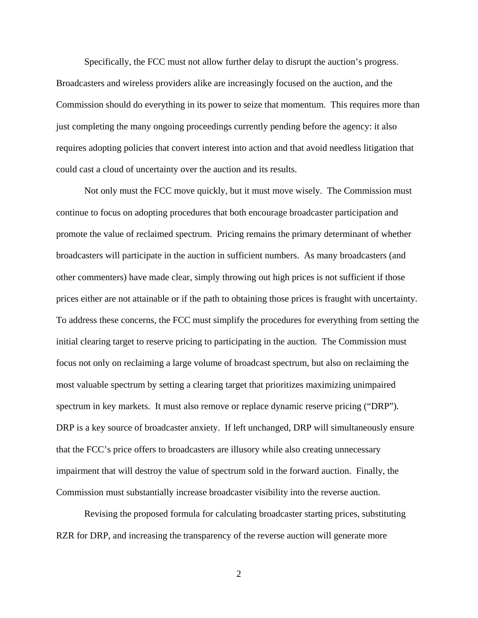Specifically, the FCC must not allow further delay to disrupt the auction's progress. Broadcasters and wireless providers alike are increasingly focused on the auction, and the Commission should do everything in its power to seize that momentum. This requires more than just completing the many ongoing proceedings currently pending before the agency: it also requires adopting policies that convert interest into action and that avoid needless litigation that could cast a cloud of uncertainty over the auction and its results.

Not only must the FCC move quickly, but it must move wisely. The Commission must continue to focus on adopting procedures that both encourage broadcaster participation and promote the value of reclaimed spectrum. Pricing remains the primary determinant of whether broadcasters will participate in the auction in sufficient numbers. As many broadcasters (and other commenters) have made clear, simply throwing out high prices is not sufficient if those prices either are not attainable or if the path to obtaining those prices is fraught with uncertainty. To address these concerns, the FCC must simplify the procedures for everything from setting the initial clearing target to reserve pricing to participating in the auction. The Commission must focus not only on reclaiming a large volume of broadcast spectrum, but also on reclaiming the most valuable spectrum by setting a clearing target that prioritizes maximizing unimpaired spectrum in key markets. It must also remove or replace dynamic reserve pricing ("DRP"). DRP is a key source of broadcaster anxiety. If left unchanged, DRP will simultaneously ensure that the FCC's price offers to broadcasters are illusory while also creating unnecessary impairment that will destroy the value of spectrum sold in the forward auction. Finally, the Commission must substantially increase broadcaster visibility into the reverse auction.

Revising the proposed formula for calculating broadcaster starting prices, substituting RZR for DRP, and increasing the transparency of the reverse auction will generate more

2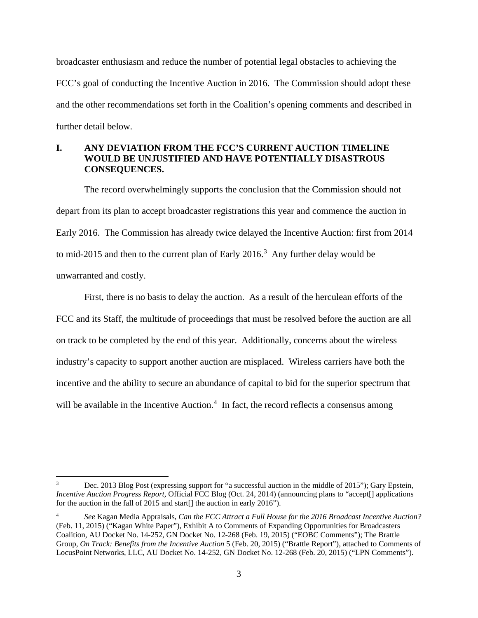broadcaster enthusiasm and reduce the number of potential legal obstacles to achieving the FCC's goal of conducting the Incentive Auction in 2016. The Commission should adopt these and the other recommendations set forth in the Coalition's opening comments and described in further detail below.

# <span id="page-6-0"></span>**I. ANY DEVIATION FROM THE FCC'S CURRENT AUCTION TIMELINE WOULD BE UNJUSTIFIED AND HAVE POTENTIALLY DISASTROUS CONSEQUENCES.**

The record overwhelmingly supports the conclusion that the Commission should not depart from its plan to accept broadcaster registrations this year and commence the auction in Early 2016. The Commission has already twice delayed the Incentive Auction: first from 2014 to mid-2015 and then to the current plan of Early  $2016$ .<sup>[3](#page-6-1)</sup> Any further delay would be unwarranted and costly.

First, there is no basis to delay the auction. As a result of the herculean efforts of the FCC and its Staff, the multitude of proceedings that must be resolved before the auction are all on track to be completed by the end of this year. Additionally, concerns about the wireless industry's capacity to support another auction are misplaced. Wireless carriers have both the incentive and the ability to secure an abundance of capital to bid for the superior spectrum that will be available in the Incentive Auction. $<sup>4</sup>$  $<sup>4</sup>$  $<sup>4</sup>$  In fact, the record reflects a consensus among</sup>

<span id="page-6-1"></span>Dec. 2013 Blog Post (expressing support for "a successful auction in the middle of 2015"); Gary Epstein, *Incentive Auction Progress Report*, Official FCC Blog (Oct. 24, 2014) (announcing plans to "accept[] applications for the auction in the fall of 2015 and start<sup>[]</sup> the auction in early 2016").

<span id="page-6-2"></span><sup>4</sup> *See* Kagan Media Appraisals, *Can the FCC Attract a Full House for the 2016 Broadcast Incentive Auction?* (Feb. 11, 2015) ("Kagan White Paper"), Exhibit A to Comments of Expanding Opportunities for Broadcasters Coalition, AU Docket No. 14-252, GN Docket No. 12-268 (Feb. 19, 2015) ("EOBC Comments"); The Brattle Group, *On Track: Benefits from the Incentive Auction* 5 (Feb. 20, 2015) ("Brattle Report"), attached to Comments of LocusPoint Networks, LLC, AU Docket No. 14-252, GN Docket No. 12-268 (Feb. 20, 2015) ("LPN Comments").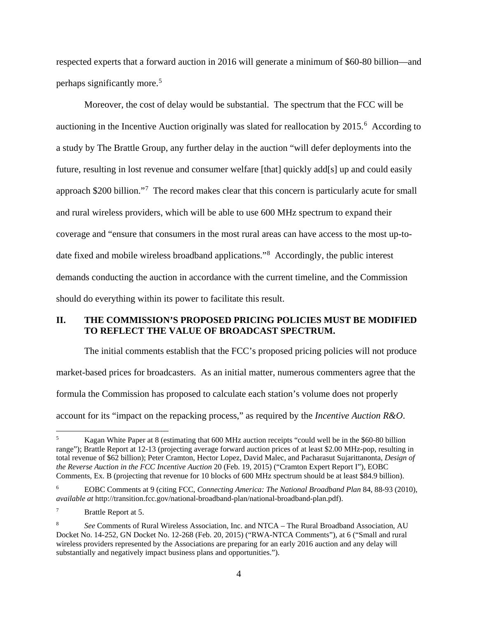respected experts that a forward auction in 2016 will generate a minimum of \$60-80 billion—and perhaps significantly more.[5](#page-7-1)

Moreover, the cost of delay would be substantial. The spectrum that the FCC will be auctioning in the Incentive Auction originally was slated for reallocation by 2015.<sup>[6](#page-7-2)</sup> According to a study by The Brattle Group, any further delay in the auction "will defer deployments into the future, resulting in lost revenue and consumer welfare [that] quickly add[s] up and could easily approach \$200 billion."<sup>[7](#page-7-3)</sup> The record makes clear that this concern is particularly acute for small and rural wireless providers, which will be able to use 600 MHz spectrum to expand their coverage and "ensure that consumers in the most rural areas can have access to the most up-todate fixed and mobile wireless broadband applications."[8](#page-7-4) Accordingly, the public interest demands conducting the auction in accordance with the current timeline, and the Commission should do everything within its power to facilitate this result.

# <span id="page-7-0"></span>**II. THE COMMISSION'S PROPOSED PRICING POLICIES MUST BE MODIFIED TO REFLECT THE VALUE OF BROADCAST SPECTRUM.**

The initial comments establish that the FCC's proposed pricing policies will not produce market-based prices for broadcasters. As an initial matter, numerous commenters agree that the formula the Commission has proposed to calculate each station's volume does not properly account for its "impact on the repacking process," as required by the *Incentive Auction R&O*.

<span id="page-7-1"></span><sup>5</sup> Kagan White Paper at 8 (estimating that 600 MHz auction receipts "could well be in the \$60-80 billion range"); Brattle Report at 12-13 (projecting average forward auction prices of at least \$2.00 MHz-pop, resulting in total revenue of \$62 billion); Peter Cramton, Hector Lopez, David Malec, and Pacharasut Sujarittanonta, *Design of the Reverse Auction in the FCC Incentive Auction* 20 (Feb. 19, 2015) ("Cramton Expert Report I"), EOBC Comments, Ex. B (projecting that revenue for 10 blocks of 600 MHz spectrum should be at least \$84.9 billion).

<span id="page-7-2"></span><sup>6</sup> EOBC Comments at 9 (citing FCC, *Connecting America: The National Broadband Plan* 84, 88-93 (2010), *available at* http://transition.fcc.gov/national-broadband-plan/national-broadband-plan.pdf).

<span id="page-7-3"></span><sup>7</sup> Brattle Report at 5.

<span id="page-7-4"></span><sup>8</sup> *See* Comments of Rural Wireless Association, Inc. and NTCA – The Rural Broadband Association, AU Docket No. 14-252, GN Docket No. 12-268 (Feb. 20, 2015) ("RWA-NTCA Comments"), at 6 ("Small and rural wireless providers represented by the Associations are preparing for an early 2016 auction and any delay will substantially and negatively impact business plans and opportunities.").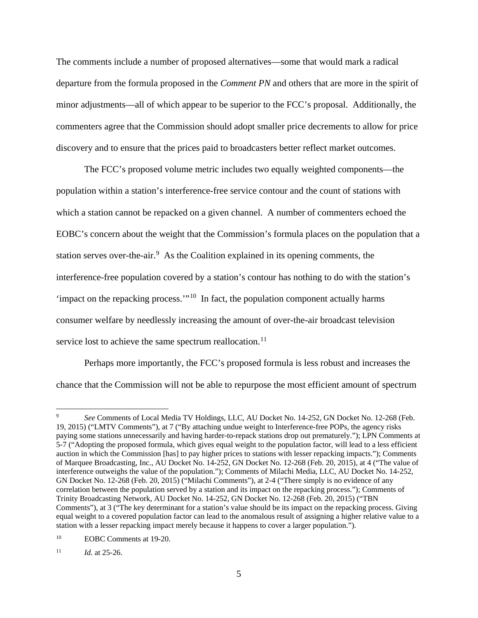The comments include a number of proposed alternatives—some that would mark a radical departure from the formula proposed in the *Comment PN* and others that are more in the spirit of minor adjustments—all of which appear to be superior to the FCC's proposal. Additionally, the commenters agree that the Commission should adopt smaller price decrements to allow for price discovery and to ensure that the prices paid to broadcasters better reflect market outcomes.

The FCC's proposed volume metric includes two equally weighted components—the population within a station's interference-free service contour and the count of stations with which a station cannot be repacked on a given channel. A number of commenters echoed the EOBC's concern about the weight that the Commission's formula places on the population that a station serves over-the-air.<sup>[9](#page-8-0)</sup> As the Coalition explained in its opening comments, the interference-free population covered by a station's contour has nothing to do with the station's 'impact on the repacking process.'"[10](#page-8-1) In fact, the population component actually harms consumer welfare by needlessly increasing the amount of over-the-air broadcast television service lost to achieve the same spectrum reallocation.<sup>11</sup>

Perhaps more importantly, the FCC's proposed formula is less robust and increases the chance that the Commission will not be able to repurpose the most efficient amount of spectrum

<span id="page-8-0"></span><sup>9</sup> *See* Comments of Local Media TV Holdings, LLC, AU Docket No. 14-252, GN Docket No. 12-268 (Feb. 19, 2015) ("LMTV Comments"), at 7 ("By attaching undue weight to Interference-free POPs, the agency risks paying some stations unnecessarily and having harder-to-repack stations drop out prematurely."); LPN Comments at 5-7 ("Adopting the proposed formula, which gives equal weight to the population factor, will lead to a less efficient auction in which the Commission [has] to pay higher prices to stations with lesser repacking impacts."); Comments of Marquee Broadcasting, Inc., AU Docket No. 14-252, GN Docket No. 12-268 (Feb. 20, 2015), at 4 ("The value of interference outweighs the value of the population."); Comments of Milachi Media, LLC, AU Docket No. 14-252, GN Docket No. 12-268 (Feb. 20, 2015) ("Milachi Comments"), at 2-4 ("There simply is no evidence of any correlation between the population served by a station and its impact on the repacking process."); Comments of Trinity Broadcasting Network, AU Docket No. 14-252, GN Docket No. 12-268 (Feb. 20, 2015) ("TBN Comments"), at 3 ("The key determinant for a station's value should be its impact on the repacking process. Giving equal weight to a covered population factor can lead to the anomalous result of assigning a higher relative value to a station with a lesser repacking impact merely because it happens to cover a larger population.").  $\overline{a}$ 

<span id="page-8-1"></span><sup>&</sup>lt;sup>10</sup> EOBC Comments at 19-20.

<span id="page-8-2"></span><sup>&</sup>lt;sup>11</sup> *Id.* at 25-26.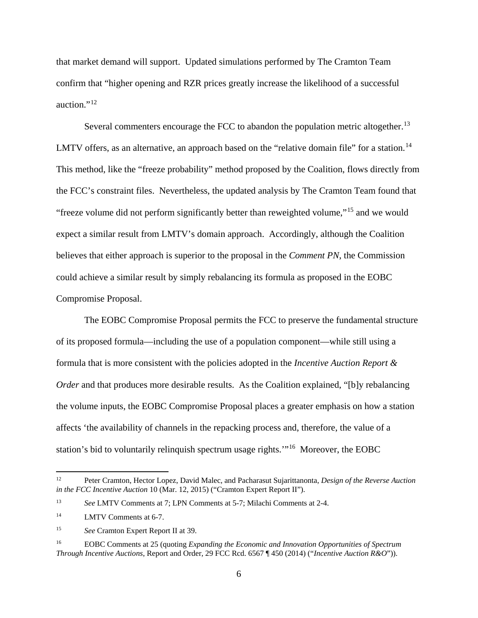that market demand will support. Updated simulations performed by The Cramton Team confirm that "higher opening and RZR prices greatly increase the likelihood of a successful auction."<sup>[12](#page-9-0)</sup>

Several commenters encourage the FCC to abandon the population metric altogether.<sup>[13](#page-9-1)</sup> LMTV offers, as an alternative, an approach based on the "relative domain file" for a station.<sup>14</sup> This method, like the "freeze probability" method proposed by the Coalition, flows directly from the FCC's constraint files. Nevertheless, the updated analysis by The Cramton Team found that "freeze volume did not perform significantly better than reweighted volume,"[15](#page-9-3) and we would expect a similar result from LMTV's domain approach. Accordingly, although the Coalition believes that either approach is superior to the proposal in the *Comment PN*, the Commission could achieve a similar result by simply rebalancing its formula as proposed in the EOBC Compromise Proposal.

The EOBC Compromise Proposal permits the FCC to preserve the fundamental structure of its proposed formula—including the use of a population component—while still using a formula that is more consistent with the policies adopted in the *Incentive Auction Report & Order* and that produces more desirable results. As the Coalition explained, "[b]y rebalancing the volume inputs, the EOBC Compromise Proposal places a greater emphasis on how a station affects 'the availability of channels in the repacking process and, therefore, the value of a station's bid to voluntarily relinquish spectrum usage rights.'"[16](#page-9-4) Moreover, the EOBC

<span id="page-9-0"></span><sup>12</sup> Peter Cramton, Hector Lopez, David Malec, and Pacharasut Sujarittanonta, *Design of the Reverse Auction in the FCC Incentive Auction* 10 (Mar. 12, 2015) ("Cramton Expert Report II").

<span id="page-9-1"></span><sup>13</sup> *See* LMTV Comments at 7; LPN Comments at 5-7; Milachi Comments at 2-4.

<span id="page-9-2"></span><sup>&</sup>lt;sup>14</sup> LMTV Comments at 6-7.

<span id="page-9-3"></span><sup>15</sup> *See* Cramton Expert Report II at 39.

<span id="page-9-4"></span><sup>16</sup> EOBC Comments at 25 (quoting *Expanding the Economic and Innovation Opportunities of Spectrum Through Incentive Auctions*, Report and Order, 29 FCC Rcd. 6567 ¶ 450 (2014) ("*Incentive Auction R&O*")).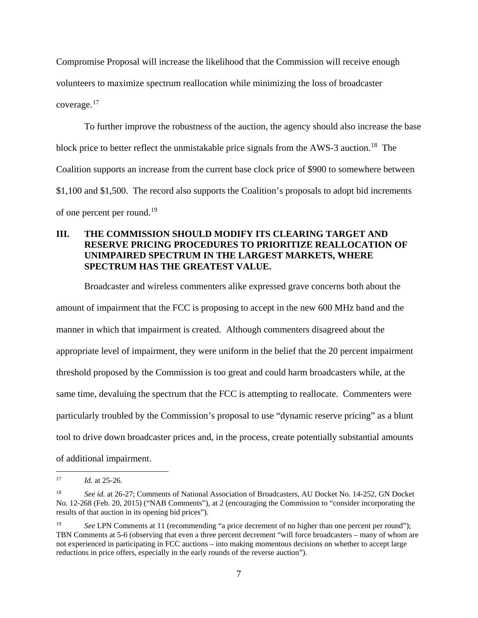Compromise Proposal will increase the likelihood that the Commission will receive enough volunteers to maximize spectrum reallocation while minimizing the loss of broadcaster coverage.[17](#page-10-1) 

To further improve the robustness of the auction, the agency should also increase the base block price to better reflect the unmistakable price signals from the AWS-3 auction.<sup>[18](#page-10-2)</sup> The Coalition supports an increase from the current base clock price of \$900 to somewhere between \$1,100 and \$1,500. The record also supports the Coalition's proposals to adopt bid increments of one percent per round.<sup>[19](#page-10-3)</sup>

# <span id="page-10-0"></span>**III. THE COMMISSION SHOULD MODIFY ITS CLEARING TARGET AND RESERVE PRICING PROCEDURES TO PRIORITIZE REALLOCATION OF UNIMPAIRED SPECTRUM IN THE LARGEST MARKETS, WHERE SPECTRUM HAS THE GREATEST VALUE.**

Broadcaster and wireless commenters alike expressed grave concerns both about the amount of impairment that the FCC is proposing to accept in the new 600 MHz band and the manner in which that impairment is created. Although commenters disagreed about the appropriate level of impairment, they were uniform in the belief that the 20 percent impairment threshold proposed by the Commission is too great and could harm broadcasters while, at the same time, devaluing the spectrum that the FCC is attempting to reallocate. Commenters were particularly troubled by the Commission's proposal to use "dynamic reserve pricing" as a blunt tool to drive down broadcaster prices and, in the process, create potentially substantial amounts of additional impairment.

<span id="page-10-1"></span>*Id.* at 25-26.  $17$ 

<span id="page-10-2"></span>See id. at 26-27; Comments of National Association of Broadcasters, AU Docket No. 14-252, GN Docket No. 12-268 (Feb. 20, 2015) ("NAB Comments"), at 2 (encouraging the Commission to "consider incorporating the results of that auction in its opening bid prices").

<span id="page-10-3"></span><sup>&</sup>lt;sup>19</sup> *See LPN Comments at 11 (recommending "a price decrement of no higher than one percent per round");* TBN Comments at 5-6 (observing that even a three percent decrement "will force broadcasters – many of whom are not experienced in participating in FCC auctions – into making momentous decisions on whether to accept large reductions in price offers, especially in the early rounds of the reverse auction").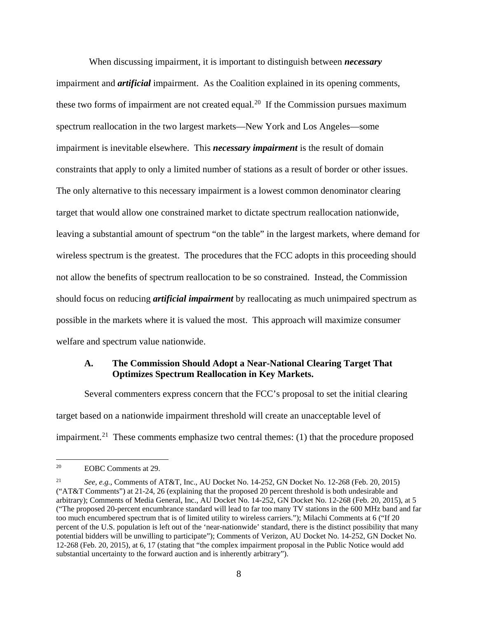When discussing impairment, it is important to distinguish between *necessary* impairment and *artificial* impairment. As the Coalition explained in its opening comments, these two forms of impairment are not created equal.<sup>[20](#page-11-1)</sup> If the Commission pursues maximum spectrum reallocation in the two largest markets—New York and Los Angeles—some impairment is inevitable elsewhere. This *necessary impairment* is the result of domain constraints that apply to only a limited number of stations as a result of border or other issues. The only alternative to this necessary impairment is a lowest common denominator clearing target that would allow one constrained market to dictate spectrum reallocation nationwide, leaving a substantial amount of spectrum "on the table" in the largest markets, where demand for wireless spectrum is the greatest. The procedures that the FCC adopts in this proceeding should not allow the benefits of spectrum reallocation to be so constrained. Instead, the Commission should focus on reducing *artificial impairment* by reallocating as much unimpaired spectrum as possible in the markets where it is valued the most. This approach will maximize consumer welfare and spectrum value nationwide.

### <span id="page-11-0"></span>**A. The Commission Should Adopt a Near-National Clearing Target That Optimizes Spectrum Reallocation in Key Markets.**

Several commenters express concern that the FCC's proposal to set the initial clearing target based on a nationwide impairment threshold will create an unacceptable level of impairment.<sup>21</sup> These comments emphasize two central themes: (1) that the procedure proposed

<span id="page-11-1"></span>EOBC Comments at 29.  $20<sup>2</sup>$ 

<span id="page-11-2"></span><sup>21</sup> *See, e.g.*, Comments of AT&T, Inc., AU Docket No. 14-252, GN Docket No. 12-268 (Feb. 20, 2015) ("AT&T Comments") at 21-24, 26 (explaining that the proposed 20 percent threshold is both undesirable and arbitrary); Comments of Media General, Inc., AU Docket No. 14-252, GN Docket No. 12-268 (Feb. 20, 2015), at 5 ("The proposed 20-percent encumbrance standard will lead to far too many TV stations in the 600 MHz band and far too much encumbered spectrum that is of limited utility to wireless carriers."); Milachi Comments at 6 ("If 20 percent of the U.S. population is left out of the 'near-nationwide' standard, there is the distinct possibility that many potential bidders will be unwilling to participate"); Comments of Verizon, AU Docket No. 14-252, GN Docket No. 12-268 (Feb. 20, 2015), at 6, 17 (stating that "the complex impairment proposal in the Public Notice would add substantial uncertainty to the forward auction and is inherently arbitrary").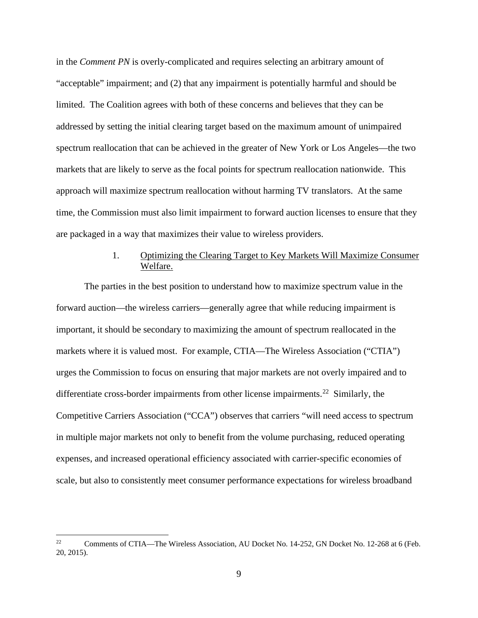in the *Comment PN* is overly-complicated and requires selecting an arbitrary amount of "acceptable" impairment; and (2) that any impairment is potentially harmful and should be limited. The Coalition agrees with both of these concerns and believes that they can be addressed by setting the initial clearing target based on the maximum amount of unimpaired spectrum reallocation that can be achieved in the greater of New York or Los Angeles—the two markets that are likely to serve as the focal points for spectrum reallocation nationwide. This approach will maximize spectrum reallocation without harming TV translators. At the same time, the Commission must also limit impairment to forward auction licenses to ensure that they are packaged in a way that maximizes their value to wireless providers.

# 1. Optimizing the Clearing Target to Key Markets Will Maximize Consumer Welfare.

<span id="page-12-0"></span>The parties in the best position to understand how to maximize spectrum value in the forward auction—the wireless carriers—generally agree that while reducing impairment is important, it should be secondary to maximizing the amount of spectrum reallocated in the markets where it is valued most. For example, CTIA—The Wireless Association ("CTIA") urges the Commission to focus on ensuring that major markets are not overly impaired and to differentiate cross-border impairments from other license impairments.<sup>[22](#page-12-1)</sup> Similarly, the Competitive Carriers Association ("CCA") observes that carriers "will need access to spectrum in multiple major markets not only to benefit from the volume purchasing, reduced operating expenses, and increased operational efficiency associated with carrier-specific economies of scale, but also to consistently meet consumer performance expectations for wireless broadband

<span id="page-12-1"></span><sup>&</sup>lt;sup>22</sup> Comments of CTIA—The Wireless Association, AU Docket No. 14-252, GN Docket No. 12-268 at 6 (Feb. 20, 2015).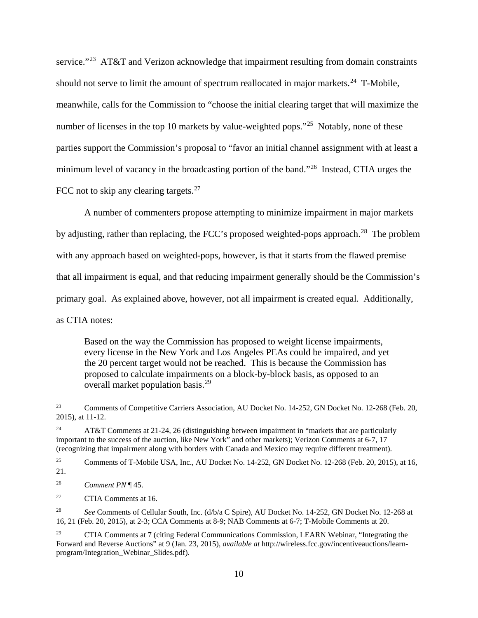service."<sup>23</sup> AT&T and Verizon acknowledge that impairment resulting from domain constraints should not serve to limit the amount of spectrum reallocated in major markets.<sup>24</sup> T-Mobile, meanwhile, calls for the Commission to "choose the initial clearing target that will maximize the number of licenses in the top 10 markets by value-weighted pops.<sup>"[25](#page-13-2)</sup> Notably, none of these parties support the Commission's proposal to "favor an initial channel assignment with at least a minimum level of vacancy in the broadcasting portion of the band."<sup>[26](#page-13-3)</sup> Instead, CTIA urges the FCC not to skip any clearing targets. $27$ 

A number of commenters propose attempting to minimize impairment in major markets by adjusting, rather than replacing, the FCC's proposed weighted-pops approach.<sup>28</sup> The problem with any approach based on weighted-pops, however, is that it starts from the flawed premise that all impairment is equal, and that reducing impairment generally should be the Commission's primary goal. As explained above, however, not all impairment is created equal. Additionally, as CTIA notes:

Based on the way the Commission has proposed to weight license impairments, every license in the New York and Los Angeles PEAs could be impaired, and yet the 20 percent target would not be reached. This is because the Commission has proposed to calculate impairments on a block-by-block basis, as opposed to an overall market population basis.<sup>[29](#page-13-6)</sup>

<span id="page-13-0"></span><sup>&</sup>lt;sup>23</sup> Comments of Competitive Carriers Association, AU Docket No. 14-252, GN Docket No. 12-268 (Feb. 20, 2015), at 11-12.

<span id="page-13-1"></span><sup>&</sup>lt;sup>24</sup> AT&T Comments at 21-24, 26 (distinguishing between impairment in "markets that are particularly important to the success of the auction, like New York" and other markets); Verizon Comments at 6-7, 17 (recognizing that impairment along with borders with Canada and Mexico may require different treatment).

<span id="page-13-2"></span><sup>&</sup>lt;sup>25</sup> Comments of T-Mobile USA, Inc., AU Docket No. 14-252, GN Docket No. 12-268 (Feb. 20, 2015), at 16, 21.

<span id="page-13-3"></span><sup>26</sup> *Comment PN* ¶ 45.

<span id="page-13-4"></span><sup>27</sup> CTIA Comments at 16.

<span id="page-13-5"></span><sup>28</sup> *See* Comments of Cellular South, Inc. (d/b/a C Spire), AU Docket No. 14-252, GN Docket No. 12-268 at 16, 21 (Feb. 20, 2015), at 2-3; CCA Comments at 8-9; NAB Comments at 6-7; T-Mobile Comments at 20.

<span id="page-13-6"></span><sup>&</sup>lt;sup>29</sup> CTIA Comments at 7 (citing Federal Communications Commission, LEARN Webinar, "Integrating the Forward and Reverse Auctions" at 9 (Jan. 23, 2015), *available at* http://wireless.fcc.gov/incentiveauctions/learnprogram/Integration\_Webinar\_Slides.pdf).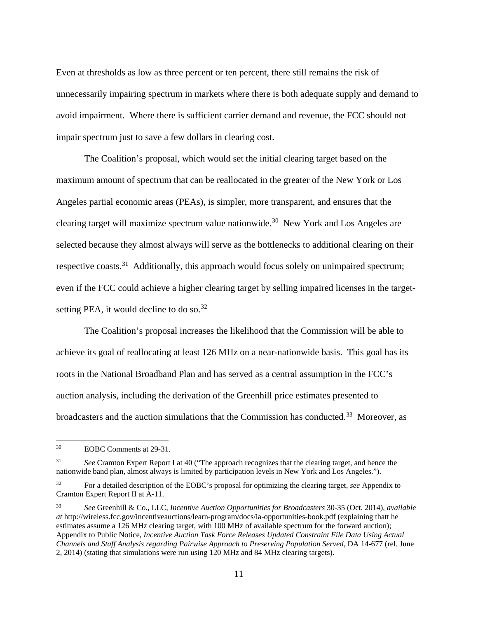Even at thresholds as low as three percent or ten percent, there still remains the risk of unnecessarily impairing spectrum in markets where there is both adequate supply and demand to avoid impairment. Where there is sufficient carrier demand and revenue, the FCC should not impair spectrum just to save a few dollars in clearing cost.

The Coalition's proposal, which would set the initial clearing target based on the maximum amount of spectrum that can be reallocated in the greater of the New York or Los Angeles partial economic areas (PEAs), is simpler, more transparent, and ensures that the clearing target will maximize spectrum value nationwide.[30](#page-14-0) New York and Los Angeles are selected because they almost always will serve as the bottlenecks to additional clearing on their respective coasts.<sup>[31](#page-14-1)</sup> Additionally, this approach would focus solely on unimpaired spectrum; even if the FCC could achieve a higher clearing target by selling impaired licenses in the targetsetting PEA, it would decline to do so.  $32$ 

The Coalition's proposal increases the likelihood that the Commission will be able to achieve its goal of reallocating at least 126 MHz on a near-nationwide basis. This goal has its roots in the National Broadband Plan and has served as a central assumption in the FCC's auction analysis, including the derivation of the Greenhill price estimates presented to broadcasters and the auction simulations that the Commission has conducted.<sup>33</sup> Moreover, as

<span id="page-14-0"></span>EOBC Comments at 29-31.  $30<sup>°</sup>$ 

<span id="page-14-1"></span><sup>&</sup>lt;sup>31</sup> *See* Cramton Expert Report I at 40 ("The approach recognizes that the clearing target, and hence the nationwide band plan, almost always is limited by participation levels in New York and Los Angeles.").

<span id="page-14-2"></span><sup>32</sup> For a detailed description of the EOBC's proposal for optimizing the clearing target, *see* Appendix to Cramton Expert Report II at A-11.

<span id="page-14-3"></span><sup>33</sup> *See* Greenhill & Co., LLC, *Incentive Auction Opportunities for Broadcasters* 30-35 (Oct. 2014), *available at* http://wireless.fcc.gov/incentiveauctions/learn-program/docs/ia-opportunities-book.pdf (explaining thatt he estimates assume a 126 MHz clearing target, with 100 MHz of available spectrum for the forward auction); Appendix to Public Notice, *Incentive Auction Task Force Releases Updated Constraint File Data Using Actual Channels and Staff Analysis regarding Pairwise Approach to Preserving Population Served*, DA 14-677 (rel. June 2, 2014) (stating that simulations were run using 120 MHz and 84 MHz clearing targets).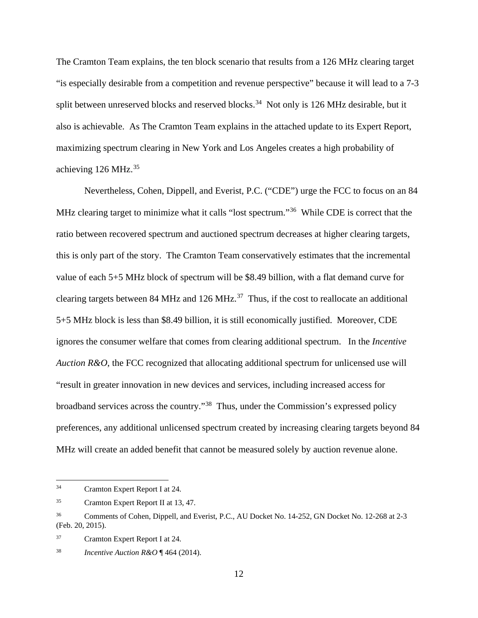The Cramton Team explains, the ten block scenario that results from a 126 MHz clearing target "is especially desirable from a competition and revenue perspective" because it will lead to a 7-3 split between unreserved blocks and reserved blocks.<sup>[34](#page-15-0)</sup> Not only is 126 MHz desirable, but it also is achievable. As The Cramton Team explains in the attached update to its Expert Report, maximizing spectrum clearing in New York and Los Angeles creates a high probability of achieving 126 MHz. [35](#page-15-1) 

Nevertheless, Cohen, Dippell, and Everist, P.C. ("CDE") urge the FCC to focus on an 84 MHz clearing target to minimize what it calls "lost spectrum."<sup>36</sup> While CDE is correct that the ratio between recovered spectrum and auctioned spectrum decreases at higher clearing targets, this is only part of the story. The Cramton Team conservatively estimates that the incremental value of each 5+5 MHz block of spectrum will be \$8.49 billion, with a flat demand curve for clearing targets between 84 MHz and 126 MHz.<sup>37</sup> Thus, if the cost to reallocate an additional 5+5 MHz block is less than \$8.49 billion, it is still economically justified. Moreover, CDE ignores the consumer welfare that comes from clearing additional spectrum. In the *Incentive Auction R&O*, the FCC recognized that allocating additional spectrum for unlicensed use will "result in greater innovation in new devices and services, including increased access for broadband services across the country."[38](#page-15-4) Thus, under the Commission's expressed policy preferences, any additional unlicensed spectrum created by increasing clearing targets beyond 84 MHz will create an added benefit that cannot be measured solely by auction revenue alone.

 $\overline{a}$ 

<span id="page-15-3"></span><sup>37</sup> Cramton Expert Report I at 24.

<span id="page-15-0"></span><sup>34</sup> Cramton Expert Report I at 24.

<span id="page-15-1"></span><sup>35</sup> Cramton Expert Report II at 13, 47.

<span id="page-15-2"></span><sup>&</sup>lt;sup>36</sup> Comments of Cohen, Dippell, and Everist, P.C., AU Docket No. 14-252, GN Docket No. 12-268 at 2-3 (Feb. 20, 2015).

<span id="page-15-4"></span><sup>38</sup> *Incentive Auction R&O* ¶ 464 (2014).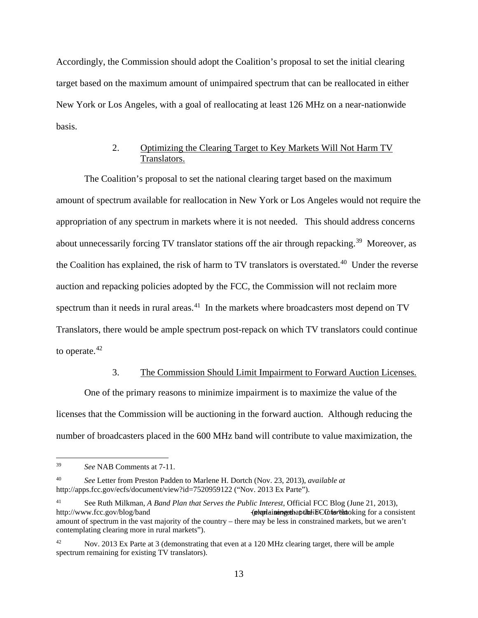Accordingly, the Commission should adopt the Coalition's proposal to set the initial clearing target based on the maximum amount of unimpaired spectrum that can be reallocated in either New York or Los Angeles, with a goal of reallocating at least 126 MHz on a near-nationwide basis.

# 2. Optimizing the Clearing Target to Key Markets Will Not Harm TV Translators.

<span id="page-16-0"></span>The Coalition's proposal to set the national clearing target based on the maximum amount of spectrum available for reallocation in New York or Los Angeles would not require the appropriation of any spectrum in markets where it is not needed. This should address concerns about unnecessarily forcing TV translator stations off the air through repacking.<sup>[39](#page-16-2)</sup> Moreover, as the Coalition has explained, the risk of harm to TV translators is overstated.<sup>[40](#page-16-3)</sup> Under the reverse auction and repacking policies adopted by the FCC, the Commission will not reclaim more spectrum than it needs in rural areas.<sup>41</sup> In the markets where broadcasters most depend on  $TV$ Translators, there would be ample spectrum post-repack on which TV translators could continue to operate.<sup>[42](#page-16-5)</sup>

#### 3. The Commission Should Limit Impairment to Forward Auction Licenses.

<span id="page-16-1"></span>One of the primary reasons to minimize impairment is to maximize the value of the licenses that the Commission will be auctioning in the forward auction. Although reducing the number of broadcasters placed in the 600 MHz band will contribute to value maximization, the

<span id="page-16-2"></span><sup>39</sup> *See* NAB Comments at 7-11.

<span id="page-16-3"></span><sup>40</sup> *See* Letter from Preston Padden to Marlene H. Dortch (Nov. 23, 2013), *available at* http://apps.fcc.gov/ecfs/document/view?id=7520959122 ("Nov. 2013 Ex Parte").

<span id="page-16-4"></span><sup>41</sup> See Ruth Milkman, *A Band Plan that Serves the Public Interest*, Official FCC Blog (June 21, 2013), http://www.fcc.gov/blog/band ‐(explaining that the FCC is "looking for a consistent plan‐ serves‐ public‐ interest amount of spectrum in the vast majority of the country – there may be less in constrained markets, but we aren't contemplating clearing more in rural markets").

<span id="page-16-5"></span>Nov. 2013 Ex Parte at 3 (demonstrating that even at a 120 MHz clearing target, there will be ample spectrum remaining for existing TV translators).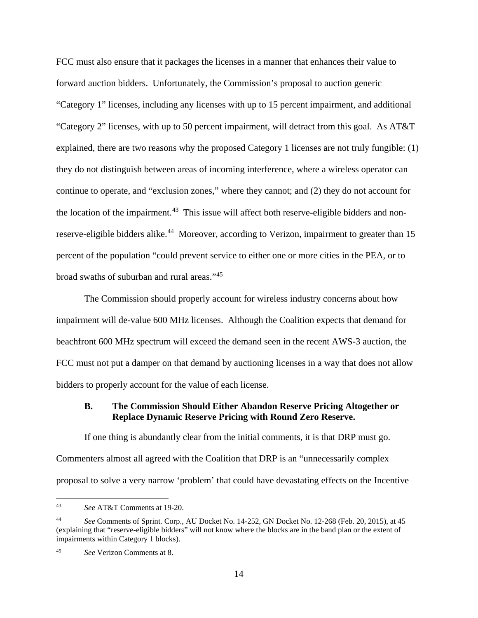FCC must also ensure that it packages the licenses in a manner that enhances their value to forward auction bidders. Unfortunately, the Commission's proposal to auction generic "Category 1" licenses, including any licenses with up to 15 percent impairment, and additional "Category 2" licenses, with up to 50 percent impairment, will detract from this goal. As AT&T explained, there are two reasons why the proposed Category 1 licenses are not truly fungible: (1) they do not distinguish between areas of incoming interference, where a wireless operator can continue to operate, and "exclusion zones," where they cannot; and (2) they do not account for the location of the impairment.<sup>43</sup> This issue will affect both reserve-eligible bidders and nonreserve-eligible bidders alike.<sup>44</sup> Moreover, according to Verizon, impairment to greater than 15 percent of the population "could prevent service to either one or more cities in the PEA, or to broad swaths of suburban and rural areas."[45](#page-17-3)

The Commission should properly account for wireless industry concerns about how impairment will de-value 600 MHz licenses. Although the Coalition expects that demand for beachfront 600 MHz spectrum will exceed the demand seen in the recent AWS-3 auction, the FCC must not put a damper on that demand by auctioning licenses in a way that does not allow bidders to properly account for the value of each license.

### <span id="page-17-0"></span>**B. The Commission Should Either Abandon Reserve Pricing Altogether or Replace Dynamic Reserve Pricing with Round Zero Reserve.**

If one thing is abundantly clear from the initial comments, it is that DRP must go. Commenters almost all agreed with the Coalition that DRP is an "unnecessarily complex proposal to solve a very narrow 'problem' that could have devastating effects on the Incentive

<span id="page-17-1"></span><sup>43</sup> *See* AT&T Comments at 19-20.  $43$ 

<span id="page-17-2"></span><sup>44</sup> *See* Comments of Sprint. Corp., AU Docket No. 14-252, GN Docket No. 12-268 (Feb. 20, 2015), at 45 (explaining that "reserve-eligible bidders" will not know where the blocks are in the band plan or the extent of impairments within Category 1 blocks).

<span id="page-17-3"></span><sup>45</sup> *See* Verizon Comments at 8.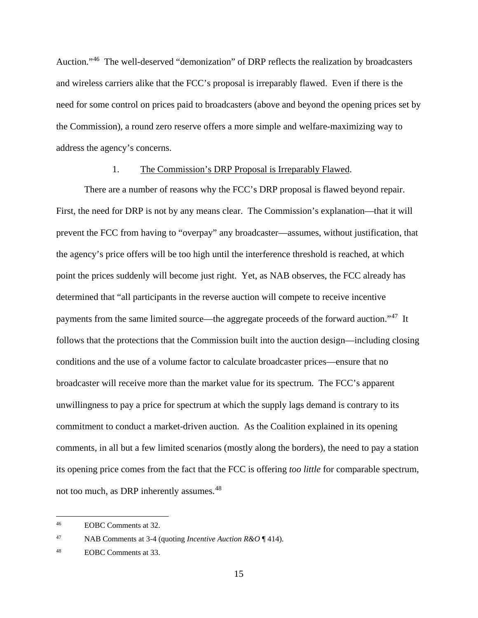Auction."[46](#page-18-1) The well-deserved "demonization" of DRP reflects the realization by broadcasters and wireless carriers alike that the FCC's proposal is irreparably flawed. Even if there is the need for some control on prices paid to broadcasters (above and beyond the opening prices set by the Commission), a round zero reserve offers a more simple and welfare-maximizing way to address the agency's concerns.

#### 1. The Commission's DRP Proposal is Irreparably Flawed.

<span id="page-18-0"></span>There are a number of reasons why the FCC's DRP proposal is flawed beyond repair. First, the need for DRP is not by any means clear. The Commission's explanation—that it will prevent the FCC from having to "overpay" any broadcaster—assumes, without justification, that the agency's price offers will be too high until the interference threshold is reached, at which point the prices suddenly will become just right. Yet, as NAB observes, the FCC already has determined that "all participants in the reverse auction will compete to receive incentive payments from the same limited source—the aggregate proceeds of the forward auction."[47](#page-18-2) It follows that the protections that the Commission built into the auction design—including closing conditions and the use of a volume factor to calculate broadcaster prices—ensure that no broadcaster will receive more than the market value for its spectrum. The FCC's apparent unwillingness to pay a price for spectrum at which the supply lags demand is contrary to its commitment to conduct a market-driven auction. As the Coalition explained in its opening comments, in all but a few limited scenarios (mostly along the borders), the need to pay a station its opening price comes from the fact that the FCC is offering *too little* for comparable spectrum, not too much, as DRP inherently assumes.<sup>[48](#page-18-3)</sup>

<span id="page-18-1"></span>EOBC Comments at 32.  $46\,$ 

<span id="page-18-2"></span><sup>47</sup> NAB Comments at 3-4 (quoting *Incentive Auction R&O* ¶ 414).

<span id="page-18-3"></span><sup>48</sup> EOBC Comments at 33.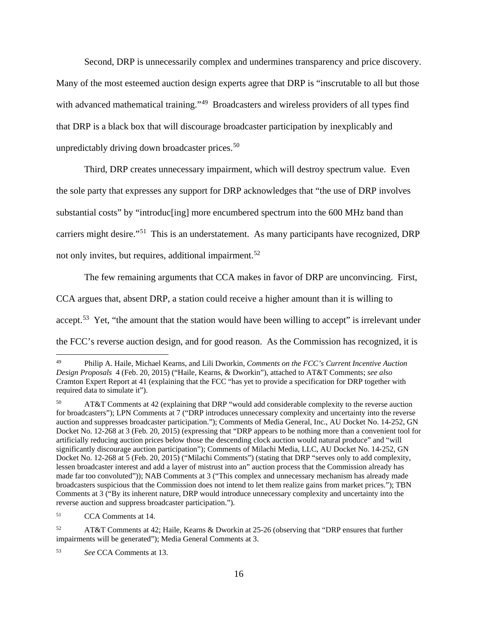Second, DRP is unnecessarily complex and undermines transparency and price discovery. Many of the most esteemed auction design experts agree that DRP is "inscrutable to all but those with advanced mathematical training."<sup>[49](#page-19-0)</sup> Broadcasters and wireless providers of all types find that DRP is a black box that will discourage broadcaster participation by inexplicably and unpredictably driving down broadcaster prices. $50$ 

Third, DRP creates unnecessary impairment, which will destroy spectrum value. Even the sole party that expresses any support for DRP acknowledges that "the use of DRP involves substantial costs" by "introduc<sup>[ing]</sup> more encumbered spectrum into the 600 MHz band than carriers might desire."[51](#page-19-2) This is an understatement. As many participants have recognized, DRP not only invites, but requires, additional impairment.<sup>[52](#page-19-3)</sup>

The few remaining arguments that CCA makes in favor of DRP are unconvincing. First,

CCA argues that, absent DRP, a station could receive a higher amount than it is willing to

accept.<sup>[53](#page-19-4)</sup> Yet, "the amount that the station would have been willing to accept" is irrelevant under

the FCC's reverse auction design, and for good reason. As the Commission has recognized, it is

<span id="page-19-0"></span><sup>49</sup> Philip A. Haile, Michael Kearns, and Lili Dworkin, *Comments on the FCC's Current Incentive Auction Design Proposals* 4 (Feb. 20, 2015) ("Haile, Kearns, & Dworkin"), attached to AT&T Comments; *see also*  Cramton Expert Report at 41 (explaining that the FCC "has yet to provide a specification for DRP together with required data to simulate it").

<span id="page-19-1"></span><sup>50</sup> AT&T Comments at 42 (explaining that DRP "would add considerable complexity to the reverse auction for broadcasters"); LPN Comments at 7 ("DRP introduces unnecessary complexity and uncertainty into the reverse auction and suppresses broadcaster participation."); Comments of Media General, Inc., AU Docket No. 14-252, GN Docket No. 12-268 at 3 (Feb. 20, 2015) (expressing that "DRP appears to be nothing more than a convenient tool for artificially reducing auction prices below those the descending clock auction would natural produce" and "will significantly discourage auction participation"); Comments of Milachi Media, LLC, AU Docket No. 14-252, GN Docket No. 12-268 at 5 (Feb. 20, 2015) ("Milachi Comments") (stating that DRP "serves only to add complexity, lessen broadcaster interest and add a layer of mistrust into an" auction process that the Commission already has made far too convoluted")); NAB Comments at 3 ("This complex and unnecessary mechanism has already made broadcasters suspicious that the Commission does not intend to let them realize gains from market prices."); TBN Comments at 3 ("By its inherent nature, DRP would introduce unnecessary complexity and uncertainty into the reverse auction and suppress broadcaster participation.").

<span id="page-19-2"></span><sup>51</sup> CCA Comments at 14.

<span id="page-19-3"></span><sup>52</sup> AT&T Comments at 42; Haile, Kearns & Dworkin at 25-26 (observing that "DRP ensures that further impairments will be generated"); Media General Comments at 3.

<span id="page-19-4"></span><sup>53</sup> *See* CCA Comments at 13.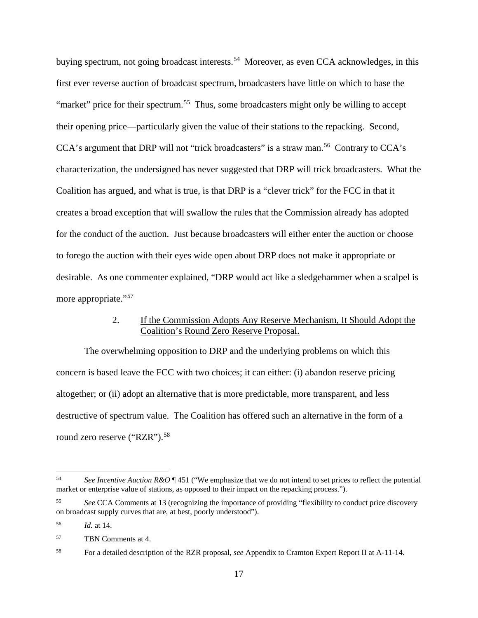buying spectrum, not going broadcast interests.<sup>[54](#page-20-1)</sup> Moreover, as even CCA acknowledges, in this first ever reverse auction of broadcast spectrum, broadcasters have little on which to base the "market" price for their spectrum.<sup>[55](#page-20-2)</sup> Thus, some broadcasters might only be willing to accept their opening price—particularly given the value of their stations to the repacking. Second, CCA's argument that DRP will not "trick broadcasters" is a straw man.<sup>[56](#page-20-3)</sup> Contrary to CCA's characterization, the undersigned has never suggested that DRP will trick broadcasters. What the Coalition has argued, and what is true, is that DRP is a "clever trick" for the FCC in that it creates a broad exception that will swallow the rules that the Commission already has adopted for the conduct of the auction. Just because broadcasters will either enter the auction or choose to forego the auction with their eyes wide open about DRP does not make it appropriate or desirable. As one commenter explained, "DRP would act like a sledgehammer when a scalpel is more appropriate."<sup>[57](#page-20-4)</sup>

# 2. If the Commission Adopts Any Reserve Mechanism, It Should Adopt the Coalition's Round Zero Reserve Proposal.

<span id="page-20-0"></span>The overwhelming opposition to DRP and the underlying problems on which this concern is based leave the FCC with two choices; it can either: (i) abandon reserve pricing altogether; or (ii) adopt an alternative that is more predictable, more transparent, and less destructive of spectrum value. The Coalition has offered such an alternative in the form of a round zero reserve ("RZR").<sup>[58](#page-20-5)</sup>

<span id="page-20-1"></span>See Incentive Auction R&O ¶ 451 ("We emphasize that we do not intend to set prices to reflect the potential market or enterprise value of stations, as opposed to their impact on the repacking process."). 54

<span id="page-20-2"></span><sup>55</sup> *See* CCA Comments at 13 (recognizing the importance of providing "flexibility to conduct price discovery on broadcast supply curves that are, at best, poorly understood").

<span id="page-20-3"></span><sup>56</sup> *Id.* at 14.

<span id="page-20-4"></span><sup>57</sup> TBN Comments at 4.

<span id="page-20-5"></span><sup>58</sup> For a detailed description of the RZR proposal, *see* Appendix to Cramton Expert Report II at A-11-14.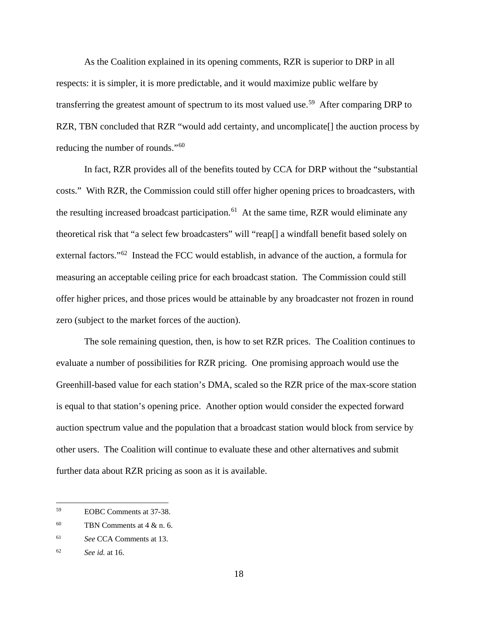As the Coalition explained in its opening comments, RZR is superior to DRP in all respects: it is simpler, it is more predictable, and it would maximize public welfare by transferring the greatest amount of spectrum to its most valued use.<sup>[59](#page-21-0)</sup> After comparing DRP to RZR, TBN concluded that RZR "would add certainty, and uncomplicate<sup>[]</sup> the auction process by reducing the number of rounds."[60](#page-21-1)

In fact, RZR provides all of the benefits touted by CCA for DRP without the "substantial costs." With RZR, the Commission could still offer higher opening prices to broadcasters, with the resulting increased broadcast participation.<sup>[61](#page-21-2)</sup> At the same time, RZR would eliminate any theoretical risk that "a select few broadcasters" will "reap[] a windfall benefit based solely on external factors."<sup>[62](#page-21-3)</sup> Instead the FCC would establish, in advance of the auction, a formula for measuring an acceptable ceiling price for each broadcast station. The Commission could still offer higher prices, and those prices would be attainable by any broadcaster not frozen in round zero (subject to the market forces of the auction).

The sole remaining question, then, is how to set RZR prices. The Coalition continues to evaluate a number of possibilities for RZR pricing. One promising approach would use the Greenhill-based value for each station's DMA, scaled so the RZR price of the max-score station is equal to that station's opening price. Another option would consider the expected forward auction spectrum value and the population that a broadcast station would block from service by other users. The Coalition will continue to evaluate these and other alternatives and submit further data about RZR pricing as soon as it is available.

<span id="page-21-0"></span>EOBC Comments at 37-38. 59

<span id="page-21-1"></span> $60$  TBN Comments at 4 & n. 6.

<span id="page-21-2"></span><sup>61</sup> *See* CCA Comments at 13.

<span id="page-21-3"></span><sup>62</sup> *See id.* at 16.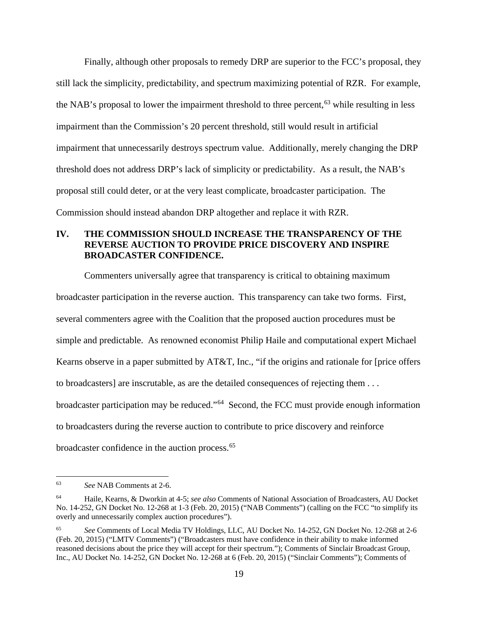Finally, although other proposals to remedy DRP are superior to the FCC's proposal, they still lack the simplicity, predictability, and spectrum maximizing potential of RZR. For example, the NAB's proposal to lower the impairment threshold to three percent, [63](#page-22-1) while resulting in less impairment than the Commission's 20 percent threshold, still would result in artificial impairment that unnecessarily destroys spectrum value. Additionally, merely changing the DRP threshold does not address DRP's lack of simplicity or predictability. As a result, the NAB's proposal still could deter, or at the very least complicate, broadcaster participation. The Commission should instead abandon DRP altogether and replace it with RZR.

# <span id="page-22-0"></span>**IV. THE COMMISSION SHOULD INCREASE THE TRANSPARENCY OF THE REVERSE AUCTION TO PROVIDE PRICE DISCOVERY AND INSPIRE BROADCASTER CONFIDENCE.**

Commenters universally agree that transparency is critical to obtaining maximum broadcaster participation in the reverse auction. This transparency can take two forms. First, several commenters agree with the Coalition that the proposed auction procedures must be simple and predictable. As renowned economist Philip Haile and computational expert Michael Kearns observe in a paper submitted by AT&T, Inc., "if the origins and rationale for [price offers to broadcasters] are inscrutable, as are the detailed consequences of rejecting them . . . broadcaster participation may be reduced."[64](#page-22-2) Second, the FCC must provide enough information to broadcasters during the reverse auction to contribute to price discovery and reinforce broadcaster confidence in the auction process.<sup>[65](#page-22-3)</sup>

<span id="page-22-1"></span><sup>63</sup> *See* NAB Comments at 2-6.

<span id="page-22-2"></span><sup>64</sup> Haile, Kearns, & Dworkin at 4-5; *see also* Comments of National Association of Broadcasters, AU Docket No. 14-252, GN Docket No. 12-268 at 1-3 (Feb. 20, 2015) ("NAB Comments") (calling on the FCC "to simplify its overly and unnecessarily complex auction procedures").

<span id="page-22-3"></span><sup>65</sup> *See* Comments of Local Media TV Holdings, LLC, AU Docket No. 14-252, GN Docket No. 12-268 at 2-6 (Feb. 20, 2015) ("LMTV Comments") ("Broadcasters must have confidence in their ability to make informed reasoned decisions about the price they will accept for their spectrum."); Comments of Sinclair Broadcast Group, Inc., AU Docket No. 14-252, GN Docket No. 12-268 at 6 (Feb. 20, 2015) ("Sinclair Comments"); Comments of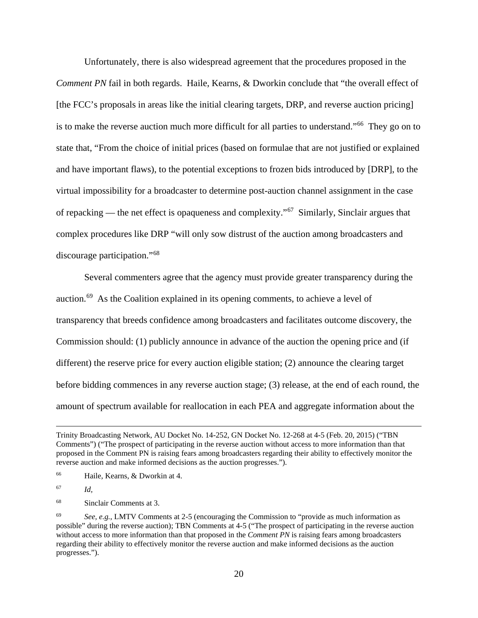Unfortunately, there is also widespread agreement that the procedures proposed in the *Comment PN* fail in both regards. Haile, Kearns, & Dworkin conclude that "the overall effect of [the FCC's proposals in areas like the initial clearing targets, DRP, and reverse auction pricing] is to make the reverse auction much more difficult for all parties to understand."[66](#page-23-0) They go on to state that, "From the choice of initial prices (based on formulae that are not justified or explained and have important flaws), to the potential exceptions to frozen bids introduced by [DRP], to the virtual impossibility for a broadcaster to determine post-auction channel assignment in the case of repacking — the net effect is opaqueness and complexity."[67](#page-23-1) Similarly, Sinclair argues that complex procedures like DRP "will only sow distrust of the auction among broadcasters and discourage participation."[68](#page-23-2)

Several commenters agree that the agency must provide greater transparency during the auction.[69](#page-23-3) As the Coalition explained in its opening comments, to achieve a level of transparency that breeds confidence among broadcasters and facilitates outcome discovery, the Commission should: (1) publicly announce in advance of the auction the opening price and (if different) the reserve price for every auction eligible station; (2) announce the clearing target before bidding commences in any reverse auction stage; (3) release, at the end of each round, the amount of spectrum available for reallocation in each PEA and aggregate information about the

Trinity Broadcasting Network, AU Docket No. 14-252, GN Docket No. 12-268 at 4-5 (Feb. 20, 2015) ("TBN Comments") ("The prospect of participating in the reverse auction without access to more information than that proposed in the Comment PN is raising fears among broadcasters regarding their ability to effectively monitor the reverse auction and make informed decisions as the auction progresses.").

<span id="page-23-0"></span><sup>66</sup> Haile, Kearns, & Dworkin at 4.

<span id="page-23-1"></span><sup>67</sup> *Id,*

<span id="page-23-2"></span><sup>68</sup> Sinclair Comments at 3.

<span id="page-23-3"></span><sup>69</sup> *See, e.g.*, LMTV Comments at 2-5 (encouraging the Commission to "provide as much information as possible" during the reverse auction); TBN Comments at 4-5 ("The prospect of participating in the reverse auction without access to more information than that proposed in the *Comment PN* is raising fears among broadcasters regarding their ability to effectively monitor the reverse auction and make informed decisions as the auction progresses.").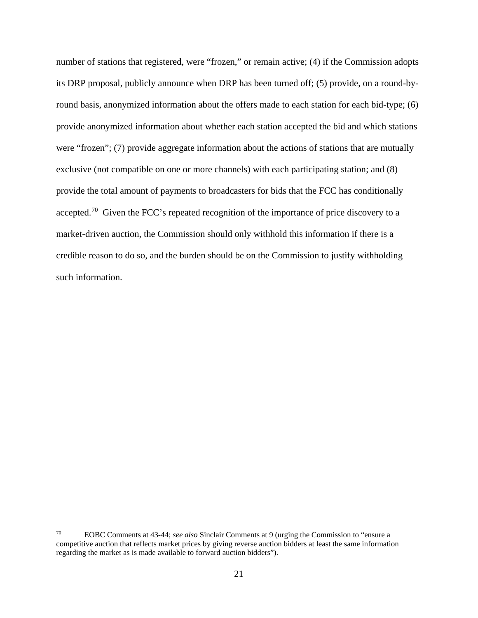<span id="page-24-0"></span>number of stations that registered, were "frozen," or remain active; (4) if the Commission adopts its DRP proposal, publicly announce when DRP has been turned off; (5) provide, on a round-byround basis, anonymized information about the offers made to each station for each bid-type; (6) provide anonymized information about whether each station accepted the bid and which stations were "frozen"; (7) provide aggregate information about the actions of stations that are mutually exclusive (not compatible on one or more channels) with each participating station; and (8) provide the total amount of payments to broadcasters for bids that the FCC has conditionally accepted.[70](#page-24-1) Given the FCC's repeated recognition of the importance of price discovery to a market-driven auction, the Commission should only withhold this information if there is a credible reason to do so, and the burden should be on the Commission to justify withholding such information.

<span id="page-24-1"></span><sup>70</sup> EOBC Comments at 43-44; *see also* Sinclair Comments at 9 (urging the Commission to "ensure a competitive auction that reflects market prices by giving reverse auction bidders at least the same information regarding the market as is made available to forward auction bidders").